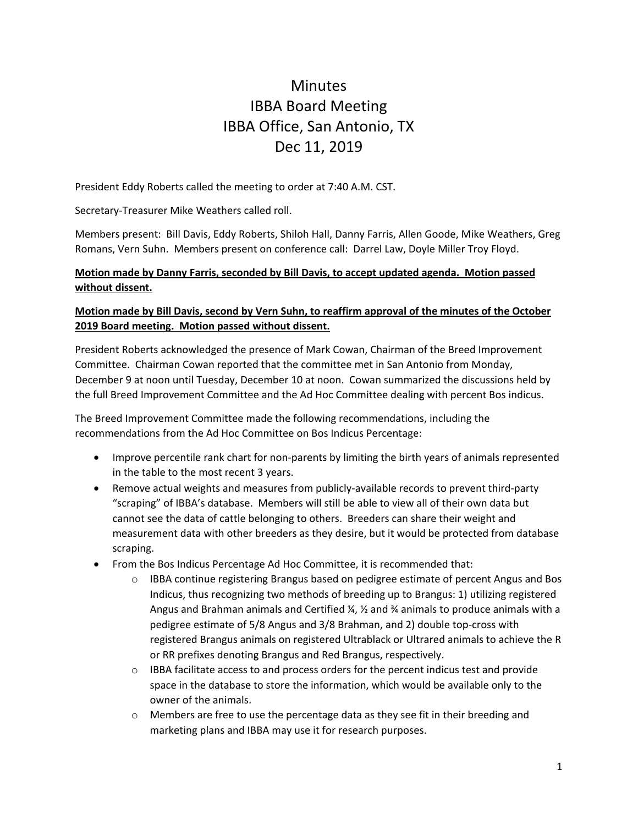# **Minutes** IBBA Board Meeting IBBA Office, San Antonio, TX Dec 11, 2019

President Eddy Roberts called the meeting to order at 7:40 A.M. CST.

Secretary‐Treasurer Mike Weathers called roll.

Members present: Bill Davis, Eddy Roberts, Shiloh Hall, Danny Farris, Allen Goode, Mike Weathers, Greg Romans, Vern Suhn. Members present on conference call: Darrel Law, Doyle Miller Troy Floyd.

#### **Motion made by Danny Farris, seconded by Bill Davis, to accept updated agenda. Motion passed without dissent.**

#### **Motion made by Bill Davis, second by Vern Suhn, to reaffirm approval of the minutes of the October 2019 Board meeting. Motion passed without dissent.**

President Roberts acknowledged the presence of Mark Cowan, Chairman of the Breed Improvement Committee. Chairman Cowan reported that the committee met in San Antonio from Monday, December 9 at noon until Tuesday, December 10 at noon. Cowan summarized the discussions held by the full Breed Improvement Committee and the Ad Hoc Committee dealing with percent Bos indicus.

The Breed Improvement Committee made the following recommendations, including the recommendations from the Ad Hoc Committee on Bos Indicus Percentage:

- Improve percentile rank chart for non-parents by limiting the birth years of animals represented in the table to the most recent 3 years.
- Remove actual weights and measures from publicly-available records to prevent third-party "scraping" of IBBA's database. Members will still be able to view all of their own data but cannot see the data of cattle belonging to others. Breeders can share their weight and measurement data with other breeders as they desire, but it would be protected from database scraping.
- From the Bos Indicus Percentage Ad Hoc Committee, it is recommended that:
	- o IBBA continue registering Brangus based on pedigree estimate of percent Angus and Bos Indicus, thus recognizing two methods of breeding up to Brangus: 1) utilizing registered Angus and Brahman animals and Certified  $\frac{1}{4}$ ,  $\frac{1}{2}$  and  $\frac{3}{4}$  animals to produce animals with a pedigree estimate of 5/8 Angus and 3/8 Brahman, and 2) double top‐cross with registered Brangus animals on registered Ultrablack or Ultrared animals to achieve the R or RR prefixes denoting Brangus and Red Brangus, respectively.
	- o IBBA facilitate access to and process orders for the percent indicus test and provide space in the database to store the information, which would be available only to the owner of the animals.
	- $\circ$  Members are free to use the percentage data as they see fit in their breeding and marketing plans and IBBA may use it for research purposes.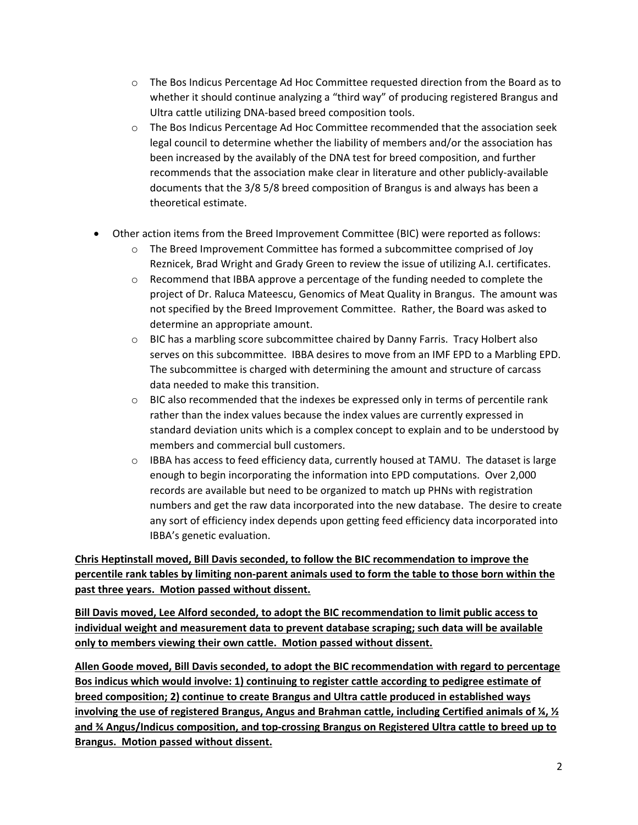- $\circ$  The Bos Indicus Percentage Ad Hoc Committee requested direction from the Board as to whether it should continue analyzing a "third way" of producing registered Brangus and Ultra cattle utilizing DNA‐based breed composition tools.
- o The Bos Indicus Percentage Ad Hoc Committee recommended that the association seek legal council to determine whether the liability of members and/or the association has been increased by the availably of the DNA test for breed composition, and further recommends that the association make clear in literature and other publicly‐available documents that the 3/8 5/8 breed composition of Brangus is and always has been a theoretical estimate.
- Other action items from the Breed Improvement Committee (BIC) were reported as follows:
	- o The Breed Improvement Committee has formed a subcommittee comprised of Joy Reznicek, Brad Wright and Grady Green to review the issue of utilizing A.I. certificates.
	- $\circ$  Recommend that IBBA approve a percentage of the funding needed to complete the project of Dr. Raluca Mateescu, Genomics of Meat Quality in Brangus. The amount was not specified by the Breed Improvement Committee. Rather, the Board was asked to determine an appropriate amount.
	- o BIC has a marbling score subcommittee chaired by Danny Farris. Tracy Holbert also serves on this subcommittee. IBBA desires to move from an IMF EPD to a Marbling EPD. The subcommittee is charged with determining the amount and structure of carcass data needed to make this transition.
	- o BIC also recommended that the indexes be expressed only in terms of percentile rank rather than the index values because the index values are currently expressed in standard deviation units which is a complex concept to explain and to be understood by members and commercial bull customers.
	- o IBBA has access to feed efficiency data, currently housed at TAMU. The dataset is large enough to begin incorporating the information into EPD computations. Over 2,000 records are available but need to be organized to match up PHNs with registration numbers and get the raw data incorporated into the new database. The desire to create any sort of efficiency index depends upon getting feed efficiency data incorporated into IBBA's genetic evaluation.

**Chris Heptinstall moved, Bill Davis seconded, to follow the BIC recommendation to improve the** percentile rank tables by limiting non-parent animals used to form the table to those born within the **past three years. Motion passed without dissent.**

**Bill Davis moved, Lee Alford seconded, to adopt the BIC recommendation to limit public access to individual weight and measurement data to prevent database scraping; such data will be available only to members viewing their own cattle. Motion passed without dissent.**

**Allen Goode moved, Bill Davis seconded, to adopt the BIC recommendation with regard to percentage Bos indicus which would involve: 1) continuing to register cattle according to pedigree estimate of breed composition; 2) continue to create Brangus and Ultra cattle produced in established ways involving the use of registered Brangus, Angus and Brahman cattle, including Certified animals of ¼, ½ and ¾ Angus/Indicus composition, and top‐crossing Brangus on Registered Ultra cattle to breed up to Brangus. Motion passed without dissent.**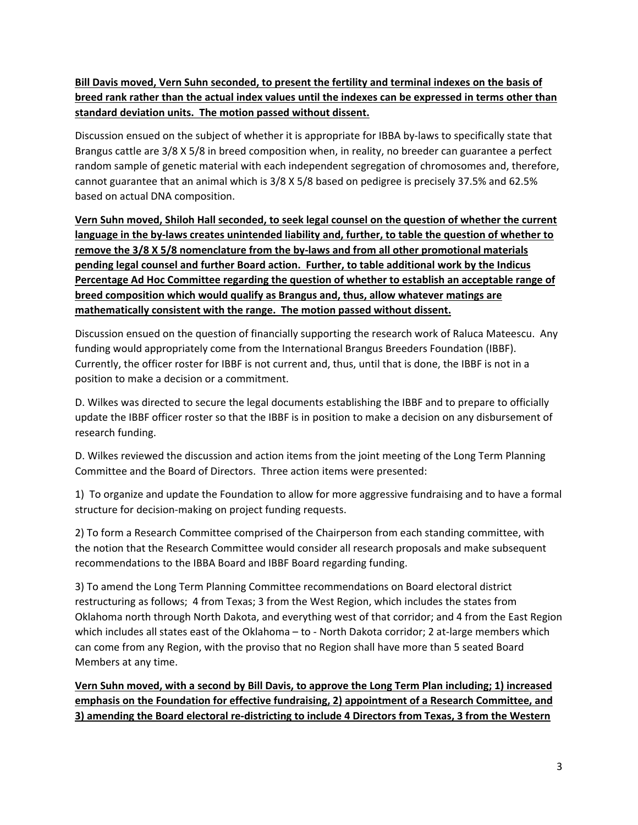**Bill Davis moved, Vern Suhn seconded, to present the fertility and terminal indexes on the basis of** breed rank rather than the actual index values until the indexes can be expressed in terms other than **standard deviation units. The motion passed without dissent.**

Discussion ensued on the subject of whether it is appropriate for IBBA by-laws to specifically state that Brangus cattle are 3/8 X 5/8 in breed composition when, in reality, no breeder can guarantee a perfect random sample of genetic material with each independent segregation of chromosomes and, therefore, cannot guarantee that an animal which is 3/8 X 5/8 based on pedigree is precisely 37.5% and 62.5% based on actual DNA composition.

**Vern Suhn moved, Shiloh Hall seconded, to seek legal counsel on the question of whether the current** language in the by-laws creates unintended liability and, further, to table the question of whether to **remove the 3/8 X 5/8 nomenclature from the by‐laws and from all other promotional materials pending legal counsel and further Board action. Further, to table additional work by the Indicus Percentage Ad Hoc Committee regarding the question of whether to establish an acceptable range of breed composition which would qualify as Brangus and, thus, allow whatever matings are mathematically consistent with the range. The motion passed without dissent.**

Discussion ensued on the question of financially supporting the research work of Raluca Mateescu. Any funding would appropriately come from the International Brangus Breeders Foundation (IBBF). Currently, the officer roster for IBBF is not current and, thus, until that is done, the IBBF is not in a position to make a decision or a commitment.

D. Wilkes was directed to secure the legal documents establishing the IBBF and to prepare to officially update the IBBF officer roster so that the IBBF is in position to make a decision on any disbursement of research funding.

D. Wilkes reviewed the discussion and action items from the joint meeting of the Long Term Planning Committee and the Board of Directors. Three action items were presented:

1) To organize and update the Foundation to allow for more aggressive fundraising and to have a formal structure for decision‐making on project funding requests.

2) To form a Research Committee comprised of the Chairperson from each standing committee, with the notion that the Research Committee would consider all research proposals and make subsequent recommendations to the IBBA Board and IBBF Board regarding funding.

3) To amend the Long Term Planning Committee recommendations on Board electoral district restructuring as follows; 4 from Texas; 3 from the West Region, which includes the states from Oklahoma north through North Dakota, and everything west of that corridor; and 4 from the East Region which includes all states east of the Oklahoma – to - North Dakota corridor; 2 at-large members which can come from any Region, with the proviso that no Region shall have more than 5 seated Board Members at any time.

Vern Suhn moved, with a second by Bill Davis, to approve the Long Term Plan including; 1) increased **emphasis on the Foundation for effective fundraising, 2) appointment of a Research Committee, and** 3) amending the Board electoral re-districting to include 4 Directors from Texas, 3 from the Western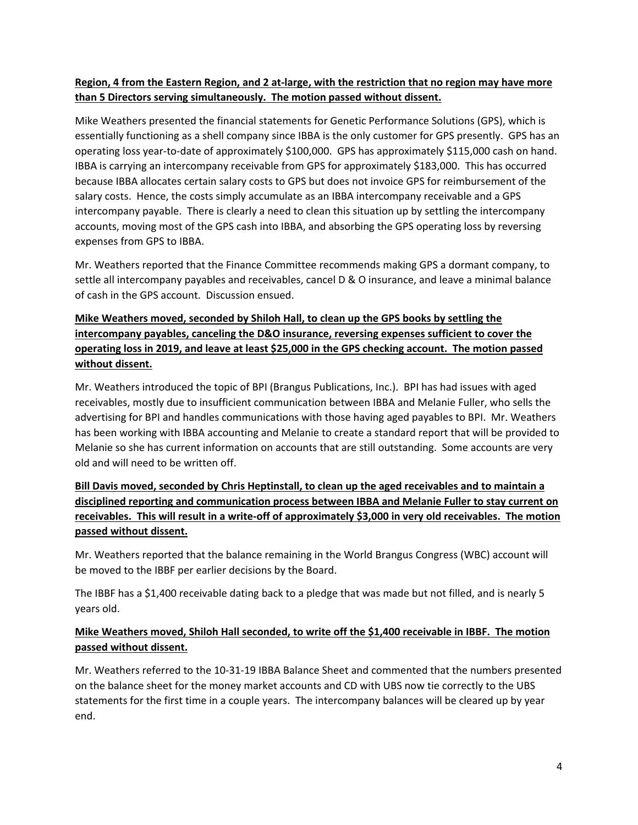#### Region, 4 from the Eastern Region, and 2 at-large, with the restriction that no region may have more **than 5 Directors serving simultaneously. The motion passed without dissent.**

Mike Weathers presented the financial statements for Genetic Performance Solutions (GPS), which is essentially functioning as a shell company since IBBA is the only customer for GPS presently. GPS has an operating loss year‐to‐date of approximately \$100,000. GPS has approximately \$115,000 cash on hand. IBBA is carrying an intercompany receivable from GPS for approximately \$183,000. This has occurred because IBBA allocates certain salary costs to GPS but does not invoice GPS for reimbursement of the salary costs. Hence, the costs simply accumulate as an IBBA intercompany receivable and a GPS intercompany payable. There is clearly a need to clean this situation up by settling the intercompany accounts, moving most of the GPS cash into IBBA, and absorbing the GPS operating loss by reversing expenses from GPS to IBBA.

Mr. Weathers reported that the Finance Committee recommends making GPS a dormant company, to settle all intercompany payables and receivables, cancel D & O insurance, and leave a minimal balance of cash in the GPS account. Discussion ensued.

# **Mike Weathers moved, seconded by Shiloh Hall, to clean up the GPS books by settling the intercompany payables, canceling the D&O insurance, reversing expenses sufficient to cover the operating loss in 2019, and leave at least \$25,000 in the GPS checking account. The motion passed without dissent.**

Mr. Weathers introduced the topic of BPI (Brangus Publications, Inc.). BPI has had issues with aged receivables, mostly due to insufficient communication between IBBA and Melanie Fuller, who sells the advertising for BPI and handles communications with those having aged payables to BPI. Mr. Weathers has been working with IBBA accounting and Melanie to create a standard report that will be provided to Melanie so she has current information on accounts that are still outstanding. Some accounts are very old and will need to be written off.

# **Bill Davis moved, seconded by Chris Heptinstall, to clean up the aged receivables and to maintain a disciplined reporting and communication process between IBBA and Melanie Fuller to stay current on** receivables. This will result in a write-off of approximately \$3,000 in very old receivables. The motion **passed without dissent.**

Mr. Weathers reported that the balance remaining in the World Brangus Congress (WBC) account will be moved to the IBBF per earlier decisions by the Board.

The IBBF has a \$1,400 receivable dating back to a pledge that was made but not filled, and is nearly 5 years old.

#### **Mike Weathers moved, Shiloh Hall seconded, to write off the \$1,400 receivable in IBBF. The motion passed without dissent.**

Mr. Weathers referred to the 10‐31‐19 IBBA Balance Sheet and commented that the numbers presented on the balance sheet for the money market accounts and CD with UBS now tie correctly to the UBS statements for the first time in a couple years. The intercompany balances will be cleared up by year end.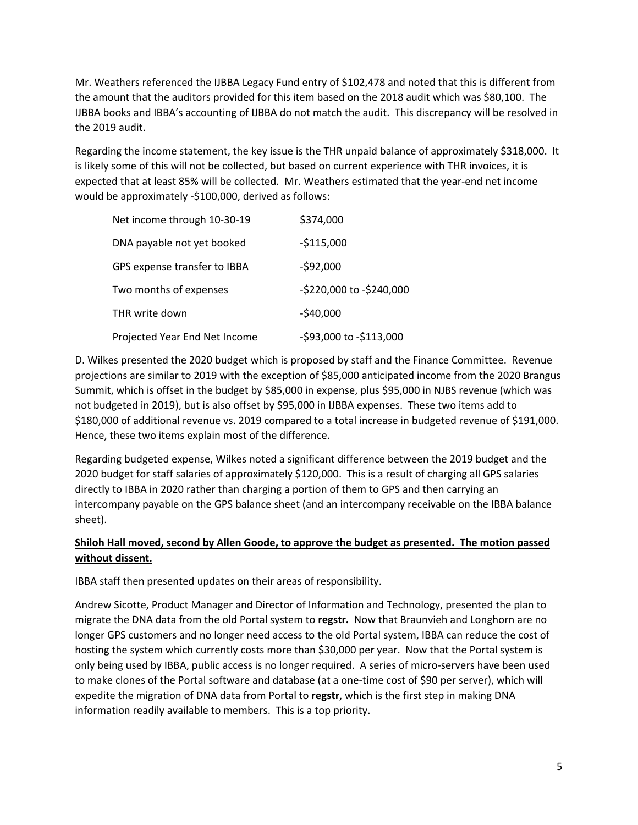Mr. Weathers referenced the IJBBA Legacy Fund entry of \$102,478 and noted that this is different from the amount that the auditors provided for this item based on the 2018 audit which was \$80,100. The IJBBA books and IBBA's accounting of IJBBA do not match the audit. This discrepancy will be resolved in the 2019 audit.

Regarding the income statement, the key issue is the THR unpaid balance of approximately \$318,000. It is likely some of this will not be collected, but based on current experience with THR invoices, it is expected that at least 85% will be collected. Mr. Weathers estimated that the year‐end net income would be approximately ‐\$100,000, derived as follows:

| Net income through 10-30-19   | \$374,000                |
|-------------------------------|--------------------------|
| DNA payable not yet booked    | $-$115,000$              |
| GPS expense transfer to IBBA  | $-592,000$               |
| Two months of expenses        | -\$220,000 to -\$240,000 |
| THR write down                | $-$40,000$               |
| Projected Year End Net Income | -\$93,000 to -\$113,000  |

D. Wilkes presented the 2020 budget which is proposed by staff and the Finance Committee. Revenue projections are similar to 2019 with the exception of \$85,000 anticipated income from the 2020 Brangus Summit, which is offset in the budget by \$85,000 in expense, plus \$95,000 in NJBS revenue (which was not budgeted in 2019), but is also offset by \$95,000 in IJBBA expenses. These two items add to \$180,000 of additional revenue vs. 2019 compared to a total increase in budgeted revenue of \$191,000. Hence, these two items explain most of the difference.

Regarding budgeted expense, Wilkes noted a significant difference between the 2019 budget and the 2020 budget for staff salaries of approximately \$120,000. This is a result of charging all GPS salaries directly to IBBA in 2020 rather than charging a portion of them to GPS and then carrying an intercompany payable on the GPS balance sheet (and an intercompany receivable on the IBBA balance sheet).

# **Shiloh Hall moved, second by Allen Goode, to approve the budget as presented. The motion passed without dissent.**

IBBA staff then presented updates on their areas of responsibility.

Andrew Sicotte, Product Manager and Director of Information and Technology, presented the plan to migrate the DNA data from the old Portal system to **regstr.** Now that Braunvieh and Longhorn are no longer GPS customers and no longer need access to the old Portal system, IBBA can reduce the cost of hosting the system which currently costs more than \$30,000 per year. Now that the Portal system is only being used by IBBA, public access is no longer required. A series of micro‐servers have been used to make clones of the Portal software and database (at a one‐time cost of \$90 per server), which will expedite the migration of DNA data from Portal to **regstr**, which is the first step in making DNA information readily available to members. This is a top priority.